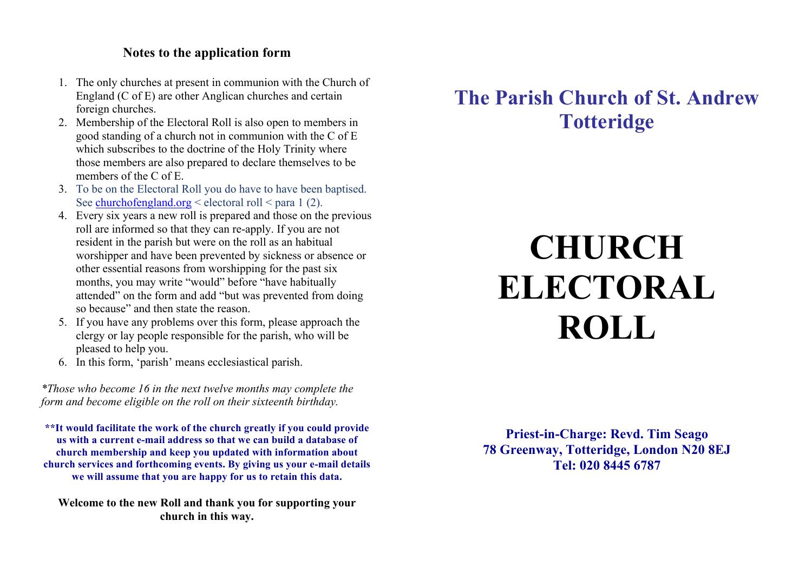## **Notes to the application form**

- 1. The only churches at present in communion with the Church of England (C of E) are other Anglican churches and certain foreign churches.
- 2. Membership of the Electoral Roll is also open to members in good standing of a church not in communion with the C of E which subscribes to the doctrine of the Holy Trinity where those members are also prepared to declare themselves to be members of the C of E.
- 3. To be on the Electoral Roll you do have to have been baptised. See churchofengland.org  $\leq$  electoral roll  $\leq$  para 1 (2).
- 4. Every six years a new roll is prepared and those on the previous roll are informed so that they can re-apply. If you are not resident in the parish but were on the roll as an habitual worshipper and have been prevented by sickness or absence or other essential reasons from worshipping for the past six months, you may write "would" before "have habitually attended" on the form and add "but was prevented from doing so because" and then state the reason.
- 5. If you have any problems over this form, please approach the clergy or lay people responsible for the parish, who will be pleased to help you.
- 6. In this form, 'parish' means ecclesiastical parish.

*\*Those who become 16 in the next twelve months may complete the form and become eligible on the roll on their sixteenth birthday.*

**\*\*It would facilitate the work of the church greatly if you could provide us with a current e-mail address so that we can build a database of church membership and keep you updated with information about church services and forthcoming events. By giving us your e-mail details we will assume that you are happy for us to retain this data.**

**Welcome to the new Roll and thank you for supporting your church in this way.**

## **The Parish Church of St. Andrew Totteridge**

# **CHURCH ELECTORAL ROLL**

**Priest-in-Charge: Revd. Tim Seago 78 Greenway, Totteridge, London N20 8EJ Tel: 020 8445 6787**